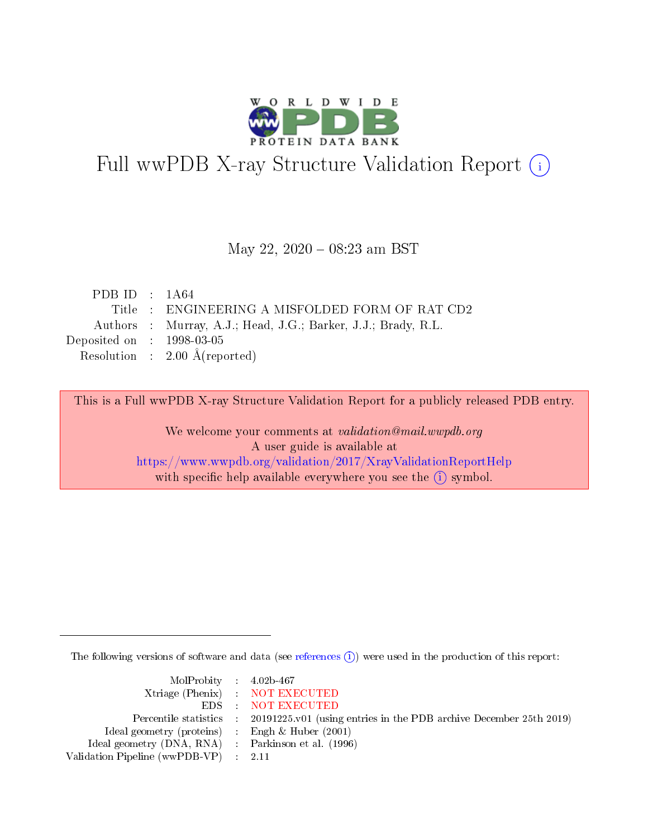

# Full wwPDB X-ray Structure Validation Report (i)

#### May 22, 2020 - 08:23 am BST

| PDB ID : $1A64$             |                                                               |
|-----------------------------|---------------------------------------------------------------|
|                             | Title : ENGINEERING A MISFOLDED FORM OF RAT CD2               |
|                             | Authors : Murray, A.J.; Head, J.G.; Barker, J.J.; Brady, R.L. |
| Deposited on : $1998-03-05$ |                                                               |
|                             | Resolution : $2.00 \text{ Å}$ (reported)                      |
|                             |                                                               |

This is a Full wwPDB X-ray Structure Validation Report for a publicly released PDB entry.

We welcome your comments at validation@mail.wwpdb.org A user guide is available at <https://www.wwpdb.org/validation/2017/XrayValidationReportHelp> with specific help available everywhere you see the  $(i)$  symbol.

The following versions of software and data (see [references](https://www.wwpdb.org/validation/2017/XrayValidationReportHelp#references)  $\overline{(1)}$ ) were used in the production of this report:

| $MolProbability$ 4.02b-467                          |                                                                                            |
|-----------------------------------------------------|--------------------------------------------------------------------------------------------|
|                                                     | Xtriage (Phenix) NOT EXECUTED                                                              |
|                                                     | EDS NOT EXECUTED                                                                           |
|                                                     | Percentile statistics : 20191225.v01 (using entries in the PDB archive December 25th 2019) |
| Ideal geometry (proteins) : Engh $\&$ Huber (2001)  |                                                                                            |
| Ideal geometry (DNA, RNA) : Parkinson et al. (1996) |                                                                                            |
| Validation Pipeline (wwPDB-VP) : 2.11               |                                                                                            |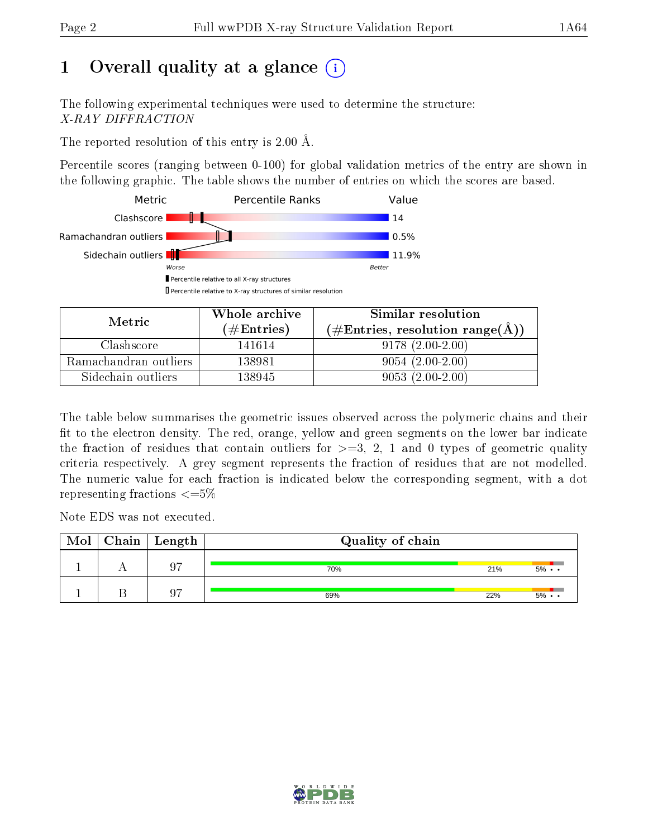# 1 [O](https://www.wwpdb.org/validation/2017/XrayValidationReportHelp#overall_quality)verall quality at a glance  $(i)$

The following experimental techniques were used to determine the structure: X-RAY DIFFRACTION

The reported resolution of this entry is 2.00 Å.

Percentile scores (ranging between 0-100) for global validation metrics of the entry are shown in the following graphic. The table shows the number of entries on which the scores are based.



| Metric                | Whole archive        | Similar resolution                                        |  |  |  |
|-----------------------|----------------------|-----------------------------------------------------------|--|--|--|
|                       | $(\#\text{Entries})$ | $(\#\text{Entries}, \text{resolution range}(\text{\AA}))$ |  |  |  |
| Clashscore            | 141614               | $9178(2.00-2.00)$                                         |  |  |  |
| Ramachandran outliers | 138981               | $9054(2.00-2.00)$                                         |  |  |  |
| Sidechain outliers    | 138945               | $9053(2.00-2.00)$                                         |  |  |  |

The table below summarises the geometric issues observed across the polymeric chains and their fit to the electron density. The red, orange, yellow and green segments on the lower bar indicate the fraction of residues that contain outliers for  $\geq=3$ , 2, 1 and 0 types of geometric quality criteria respectively. A grey segment represents the fraction of residues that are not modelled. The numeric value for each fraction is indicated below the corresponding segment, with a dot representing fractions  $\epsilon = 5\%$ 

Note EDS was not executed.

| Mol | $\fbox{Chain}$ Length | Quality of chain |     |                   |  |  |  |
|-----|-----------------------|------------------|-----|-------------------|--|--|--|
|     | 07                    | 70%              | 21% | $5\% \cdot \cdot$ |  |  |  |
|     | 07                    | 69%              | 22% | $5\% \cdot \cdot$ |  |  |  |

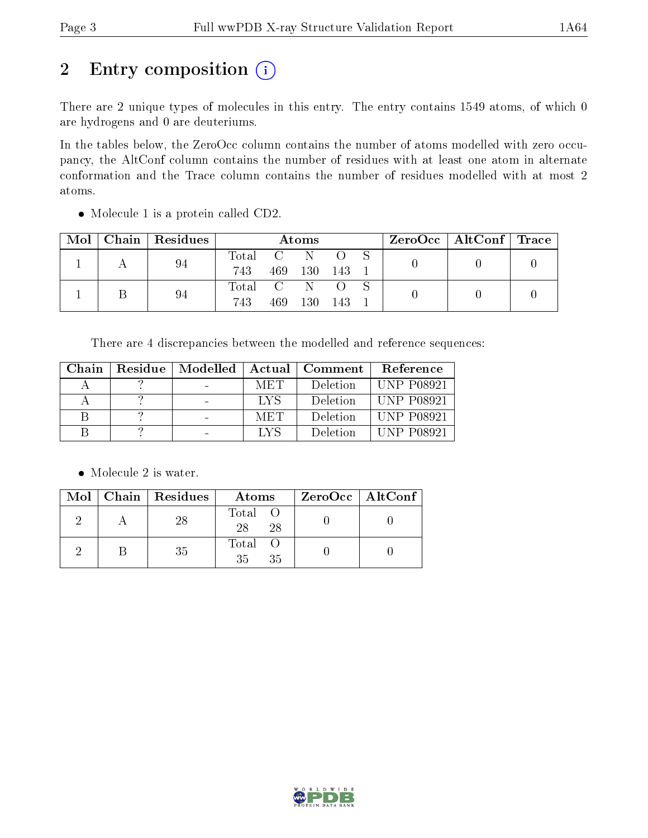# 2 Entry composition (i)

There are 2 unique types of molecules in this entry. The entry contains 1549 atoms, of which 0 are hydrogens and 0 are deuteriums.

In the tables below, the ZeroOcc column contains the number of atoms modelled with zero occupancy, the AltConf column contains the number of residues with at least one atom in alternate conformation and the Trace column contains the number of residues modelled with at most 2 atoms.

| Mol | Chain   Residues | Atoms                                                    |     |         |       |  |  | $\text{ZeroOcc} \mid \text{AltConf} \mid \text{Trace} \mid$ |  |
|-----|------------------|----------------------------------------------------------|-----|---------|-------|--|--|-------------------------------------------------------------|--|
|     | 94               | $\begin{array}{ccc} \text{Total} & \text{C} \end{array}$ |     | -N      |       |  |  |                                                             |  |
|     |                  | 743                                                      |     | 469 130 | - 143 |  |  |                                                             |  |
|     | 94               | Total C                                                  |     | -N      |       |  |  |                                                             |  |
|     |                  | 743                                                      | 469 | 130     | -143  |  |  |                                                             |  |

• Molecule 1 is a protein called CD2.

There are 4 discrepancies between the modelled and reference sequences:

| Chain | Residue | Modelled |     | Actual   Comment | Reference         |
|-------|---------|----------|-----|------------------|-------------------|
|       |         |          | MET | Deletion         | <b>UNP P08921</b> |
|       |         |          | LYS | Deletion         | <b>UNP P08921</b> |
|       |         |          | MET | Deletion         | <b>UNP P08921</b> |
|       |         |          | LYS | Deletion         | <b>UNP P08921</b> |

• Molecule 2 is water.

|  | $Mol$   Chain   Residues | Atoms               | ZeroOcc   AltConf |
|--|--------------------------|---------------------|-------------------|
|  | 28                       | Total O<br>28<br>28 |                   |
|  | 35                       | Total O<br>35<br>35 |                   |

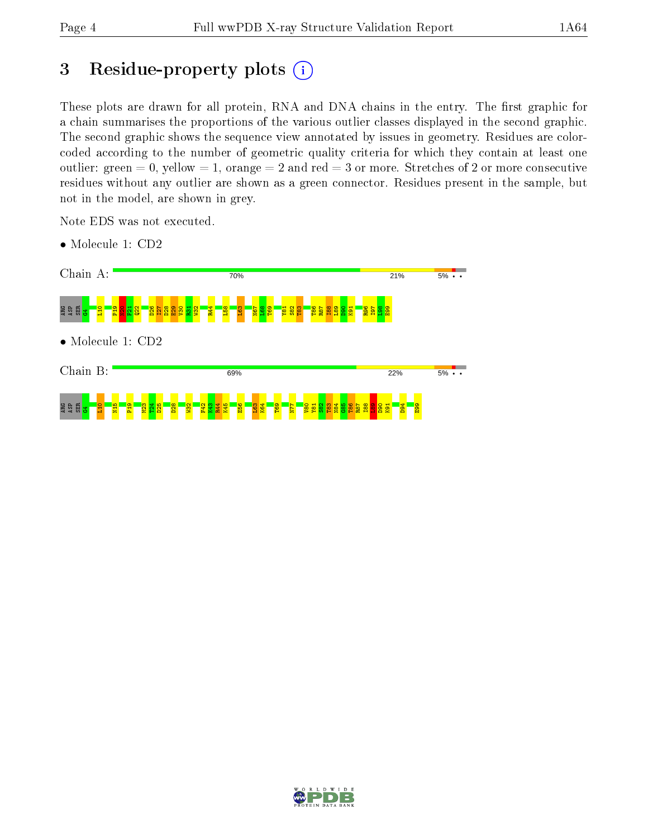## 3 Residue-property plots  $(i)$

These plots are drawn for all protein, RNA and DNA chains in the entry. The first graphic for a chain summarises the proportions of the various outlier classes displayed in the second graphic. The second graphic shows the sequence view annotated by issues in geometry. Residues are colorcoded according to the number of geometric quality criteria for which they contain at least one outlier: green  $= 0$ , yellow  $= 1$ , orange  $= 2$  and red  $= 3$  or more. Stretches of 2 or more consecutive residues without any outlier are shown as a green connector. Residues present in the sample, but not in the model, are shown in grey.

Note EDS was not executed.



• Molecule 1: CD2

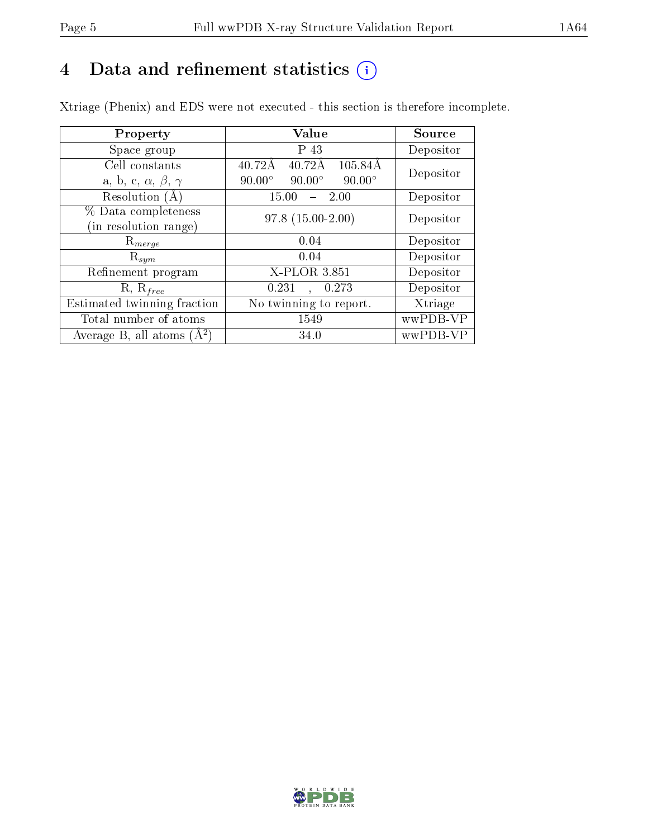# 4 Data and refinement statistics  $(i)$

Xtriage (Phenix) and EDS were not executed - this section is therefore incomplete.

| Property                               | Value                                             | Source    |  |
|----------------------------------------|---------------------------------------------------|-----------|--|
| Space group                            | P 43                                              | Depositor |  |
| Cell constants                         | $40.72\text{\AA}$<br>105.84Å<br>$40.72\text{\AA}$ | Depositor |  |
| a, b, c, $\alpha$ , $\beta$ , $\gamma$ | $90.00^\circ$<br>$90.00^\circ$<br>$90.00^\circ$   |           |  |
| Resolution (A)                         | 15.00<br>$-2.00$                                  | Depositor |  |
| % Data completeness                    | $97.8(15.00-2.00)$                                | Depositor |  |
| (in resolution range)                  |                                                   |           |  |
| $\mathrm{R}_{merge}$                   | 0.04                                              | Depositor |  |
| $\mathrm{R}_{sym}$                     | 0.04                                              | Depositor |  |
| Refinement program                     | X-PLOR 3.851                                      | Depositor |  |
| $R, R_{free}$                          | 0.231<br>0.273                                    | Depositor |  |
| Estimated twinning fraction            | No twinning to report.                            | Xtriage   |  |
| Total number of atoms                  | 1549                                              | wwPDB-VP  |  |
| Average B, all atoms $(A^2)$           | 34.0                                              | wwPDB-VP  |  |

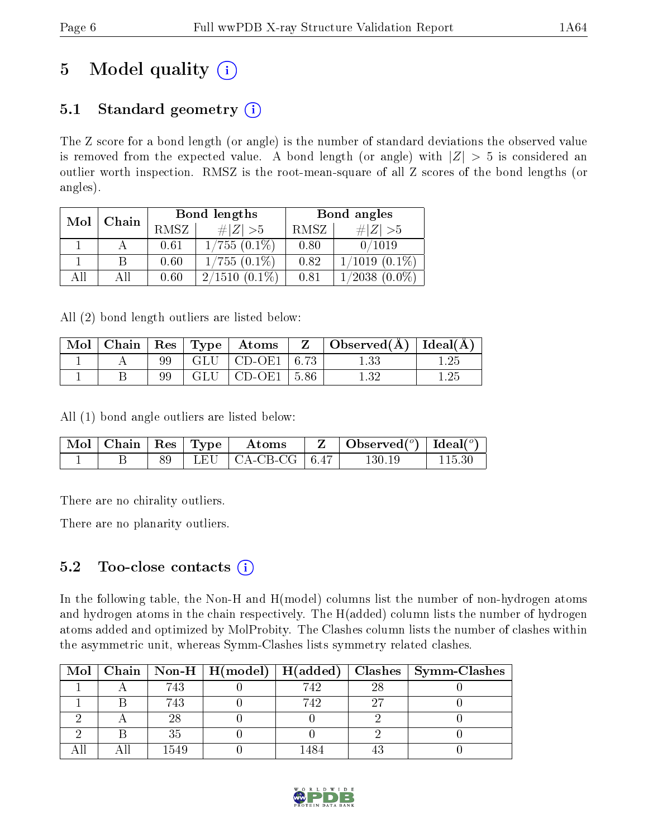# 5 Model quality  $(i)$

## 5.1 Standard geometry  $(i)$

The Z score for a bond length (or angle) is the number of standard deviations the observed value is removed from the expected value. A bond length (or angle) with  $|Z| > 5$  is considered an outlier worth inspection. RMSZ is the root-mean-square of all Z scores of the bond lengths (or angles).

| Mol | Chain |      | Bond lengths        | Bond angles |                     |  |
|-----|-------|------|---------------------|-------------|---------------------|--|
|     |       | RMSZ | # Z  > 5            | RMSZ        | $\# Z >5$           |  |
|     |       | 0.61 | $1/755(0.1\%)$      | 0.80        | 0/1019              |  |
|     |       | 0.60 | $1/755(0.1\%)$      | 0.82        | $1/1019(0.1\%)$     |  |
| АĦ  |       | 0.60 | 2/1510<br>$(0.1\%)$ | 0.81        | 1/2038<br>$(0.0\%)$ |  |

All (2) bond length outliers are listed below:

|  |     |     | $\parallel$ Mol $\parallel$ Chain $\parallel$ Res $\parallel$ Type $\parallel$ Atoms | Z | $\Box$ Observed( $\AA$ ) $\Box$ Ideal( $\AA$ ) $\Box$ |      |
|--|-----|-----|--------------------------------------------------------------------------------------|---|-------------------------------------------------------|------|
|  | 99- |     | $ \text{GLU} \text{CD-OE1} 6.73 +$                                                   |   |                                                       | 1.25 |
|  | 99  | GLU | $\vert$ CD-OE1 $\vert$ 5.86                                                          |   | $1.32\,$                                              | 1.25 |

All (1) bond angle outliers are listed below:

| $\mid$ Mol $\mid$ Chain $\mid$ Res $\mid$ Type $\mid$ |  | $\bold{Atoms}$                    | $\vert$ Observed $(^\circ)\vert$ Ideal $(^\circ)$ |  |
|-------------------------------------------------------|--|-----------------------------------|---------------------------------------------------|--|
|                                                       |  | LEU $\vert$ CA-CB-CG $\vert$ 6.47 | $130.19\,$                                        |  |

There are no chirality outliers.

There are no planarity outliers.

## 5.2 Too-close contacts  $\overline{()}$

In the following table, the Non-H and H(model) columns list the number of non-hydrogen atoms and hydrogen atoms in the chain respectively. The H(added) column lists the number of hydrogen atoms added and optimized by MolProbity. The Clashes column lists the number of clashes within the asymmetric unit, whereas Symm-Clashes lists symmetry related clashes.

|  |      |     |    | Mol   Chain   Non-H   H(model)   H(added)   Clashes   Symm-Clashes |
|--|------|-----|----|--------------------------------------------------------------------|
|  | 743  | 742 | 28 |                                                                    |
|  | 743  | 742 |    |                                                                    |
|  | 28   |     |    |                                                                    |
|  | 35   |     |    |                                                                    |
|  | 1549 |     |    |                                                                    |

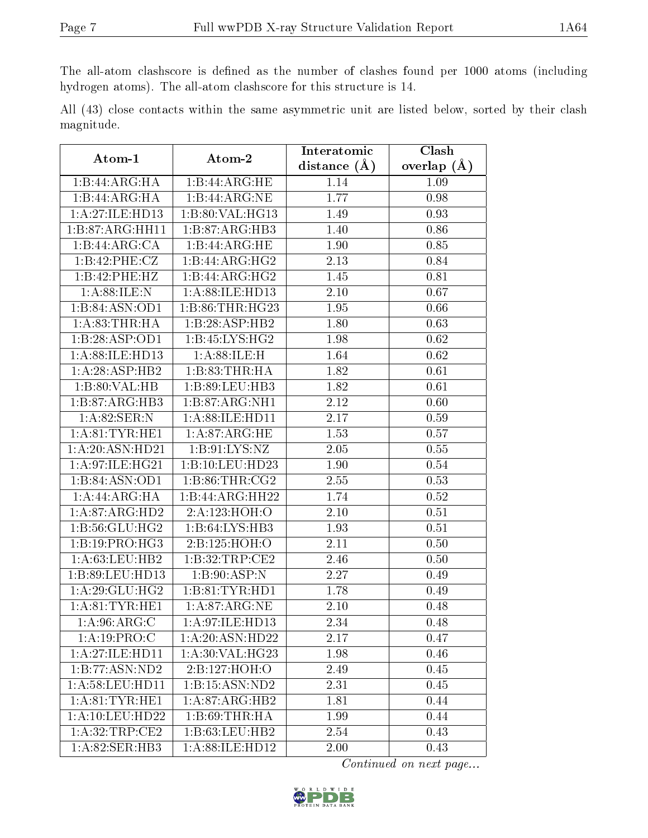The all-atom clashscore is defined as the number of clashes found per 1000 atoms (including hydrogen atoms). The all-atom clashscore for this structure is 14.

All (43) close contacts within the same asymmetric unit are listed below, sorted by their clash magnitude.

| Atom-1                        | Atom-2                               | Interatomic       | Clash         |  |  |
|-------------------------------|--------------------------------------|-------------------|---------------|--|--|
|                               |                                      | distance $(A)$    | overlap $(A)$ |  |  |
| 1:B:44:ARG:HA                 | 1:B:44:ARG:HE                        | 1.14              | 1.09          |  |  |
| 1:B:44:ARG:HA                 | 1:B:44:ARG:NE                        | 1.77              | 0.98          |  |  |
| 1:A:27:ILE:HD13               | 1:B:80:VAL:HG13                      | 1.49              | 0.93          |  |  |
| 1:B:87:ARG:HH11               | 1:B:87:ARG:HB3                       | 1.40              | 0.86          |  |  |
| 1:B:44:ARG:CA                 | 1:B:44:ARG:HE                        | 1.90              | 0.85          |  |  |
| 1:B:42:PHE:CZ                 | 1:B:44:ARG:HG2                       | 2.13              | 0.84          |  |  |
| 1:B:42:PHE:HZ                 | 1:B:44:ARG:HG2                       | 1.45              | 0.81          |  |  |
| 1: A:88: ILE:N                | 1: A:88: ILE: HD13                   | 2.10              | 0.67          |  |  |
| 1:B:84:ASN:OD1                | 1:B:86:THR:HG23                      | 1.95              | 0.66          |  |  |
| 1: A:83:THR:HA                | 1:B:28:ASP:HB2                       | 1.80              | 0.63          |  |  |
| 1:B:28:ASP:OD1                | 1:B:45:LYS:HG2                       | 1.98              | 0.62          |  |  |
| 1:A:88:ILE:HD13               | 1: A:88: ILE:H                       | 1.64              | 0.62          |  |  |
| 1:A:28:ASP:HB2                | 1:B:83:THR:HA                        | 1.82              | 0.61          |  |  |
| 1:B:80:VAL:HB                 | 1:B:89:LEU:HB3                       | 1.82              | 0.61          |  |  |
| 1:B:87:ARG:HB3                | 1:B:87:ARG:NH1                       | 2.12              | 0.60          |  |  |
| 1:A:82:SER:N                  | 1:A:88:ILE:HD11                      | 2.17              | 0.59          |  |  |
| 1: A:81:TYR:HE1               | 1: A:87: ARG: HE                     | 1.53              | 0.57          |  |  |
| 1:A:20:ASN:HD21               | 1: B: 91: LYS: NZ                    | 2.05              | 0.55          |  |  |
| 1:A:97:ILE:HG21               | 1:B:10:LEU:HD23                      | 1.90              | 0.54          |  |  |
| 1:B:84:ASN:OD1                | 1: B:86:THR:CG2                      | 2.55              | 0.53          |  |  |
| 1:A:44:ARG:HA                 | 1:B:44:ARG:HH22                      | 1.74              | 0.52          |  |  |
| $1: A:87: \overline{ARG:H}D2$ | 2:A:123:HOH:O                        | 2.10              | 0.51          |  |  |
| 1: B:56: GLU: HG2             | 1:B:64:LYS:HB3                       | 1.93              | 0.51          |  |  |
| 1:B:19:PRO:HG3                | 2:B:125:HOH:O                        | 2.11              | 0.50          |  |  |
| 1:A:63:LEU:HB2                | 1: B:32:TRP:CE2                      | 2.46              | 0.50          |  |  |
| 1:B:89:LEU:HD13               | 1:B:90:ASP:N                         | 2.27              | 0.49          |  |  |
| 1: A:29: GLU: HG2             | 1: B:81: TYR: HD1                    | 1.78              | 0.49          |  |  |
| 1: A:81:TYR:HE1               | 1: A:87: ARG: NE                     | 2.10              | 0.48          |  |  |
| 1: A:96: ARG: C               | 1: A:97: ILE: HD13                   | $\overline{2.34}$ | 0.48          |  |  |
| 1:A:19:PRO:C                  | 1:A:20:ASN:HD22                      | 2.17              | 0.47          |  |  |
| 1:A:27:ILE:HD11               | 1:A:30:VAL:HG23                      | 1.98              | 0.46          |  |  |
| 1:B:77:ASN:ND2                | 2:B:127:HOH:O                        | 2.49              | 0.45          |  |  |
| 1: A:58:LEU:HD11              | 1:B:15:ASN:ND2                       | 2.31              | 0.45          |  |  |
| 1:A:81:TYR:HE1                | $1:A:87:A\overline{\mathrm{RG:H}B2}$ | 1.81              | 0.44          |  |  |
| 1: A: 10: LEU: HD22           | 1:B:69:THR:HA                        | 1.99              | 0.44          |  |  |
| 1:A:32:TRP:CE2                | 1:B:63:LEU:HB2                       | 2.54              | 0.43          |  |  |
| 1:A:82:SER:HB3                | 1: A:88: ILE: HD12                   | 2.00              | 0.43          |  |  |

Continued on next page...

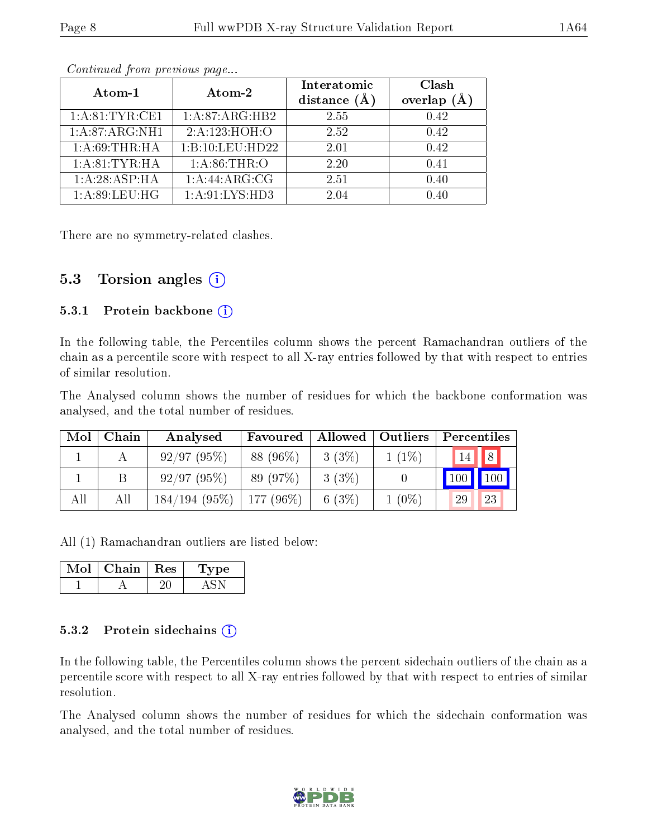| Atom-1          | Atom-2            | Interatomic<br>distance $(A)$ | Clash<br>overlap |
|-----------------|-------------------|-------------------------------|------------------|
| 1: A:81:TYR:CE1 | 1:A:87:ARG:HB2    | 2.55                          | 0.42             |
| 1:A:87:ARG:NH1  | 2:A:123:HOH:O     | 2.52                          | 0.42             |
| 1: A:69:THR:HA  | 1:B:10:LEU:HD22   | 2.01                          | 0.42             |
| 1: A:81:TYR:HA  | 1: A:86:THR:O     | 2.20                          | 0.41             |
| 1:A:28:ABP:HA   | 1:A:44:ARG:CG     | 2.51                          | 0.40             |
| 1: A:89:LEU:HG  | 1: A:91: LYS: HD3 | 2.04                          | በ 4በ             |

Continued from previous page...

There are no symmetry-related clashes.

### 5.3 Torsion angles  $(i)$

#### 5.3.1 Protein backbone  $(i)$

In the following table, the Percentiles column shows the percent Ramachandran outliers of the chain as a percentile score with respect to all X-ray entries followed by that with respect to entries of similar resolution.

The Analysed column shows the number of residues for which the backbone conformation was analysed, and the total number of residues.

| Mol | Chain | Analysed                    | Favoured  |          | Allowed   Outliers | Percentiles |
|-----|-------|-----------------------------|-----------|----------|--------------------|-------------|
|     |       | 92/97(95%)                  | 88 (96%)  | 3(3%)    | $1(1\%)$           | 8 <br>14    |
|     |       | 92/97(95%)                  | 89 (97\%) | 3(3%)    |                    | 100<br>100  |
| All | All   | $184/194$ (95%)   177 (96%) |           | 6 $(3%)$ | $1(0\%)$           | 23<br>29    |

All (1) Ramachandran outliers are listed below:

| Chain | $\perp$ Res | L'ype |
|-------|-------------|-------|
|       |             |       |

#### 5.3.2 Protein sidechains (i)

In the following table, the Percentiles column shows the percent sidechain outliers of the chain as a percentile score with respect to all X-ray entries followed by that with respect to entries of similar resolution.

The Analysed column shows the number of residues for which the sidechain conformation was analysed, and the total number of residues.

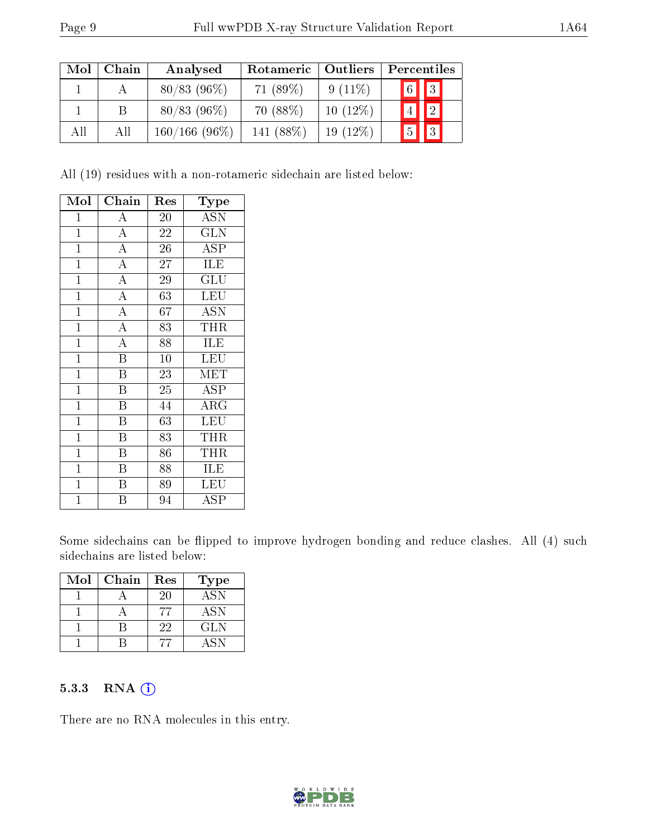| Mol | Chain | Analysed        | Rotameric   | Outliers   |                  | Percentiles                                                |  |
|-----|-------|-----------------|-------------|------------|------------------|------------------------------------------------------------|--|
|     |       | $80/83$ (96\%)  | 71 $(89\%)$ | $9(11\%)$  |                  | $\begin{array}{ c c c }\hline 6 & 3 \\ \hline \end{array}$ |  |
|     |       | $80/83$ (96%)   | $70(88\%)$  | $10(12\%)$ |                  | $\boxed{2}$                                                |  |
| All | All   | $160/166(96\%)$ | 141 (88\%)  | $19(12\%)$ | $\mathbf{F}_{5}$ | $\boxed{3}$                                                |  |

All (19) residues with a non-rotameric sidechain are listed below:

| Mol            | Chain                   | Res             | $_{\rm Type}$             |
|----------------|-------------------------|-----------------|---------------------------|
| $\mathbf 1$    | A                       | 20              | <b>ASN</b>                |
| $\mathbf 1$    | $\overline{\rm A}$      | 22              | <b>GLN</b>                |
| $\mathbf 1$    | $\overline{\rm A}$      | $\overline{26}$ | ASP                       |
| $\mathbf 1$    | $\overline{\rm A}$      | 27              | ILE                       |
| $\mathbf{1}$   | $\overline{\rm A}$      | 29              | GLU                       |
| $\mathbf 1$    | $\overline{A}$          | 63              | <b>LEU</b>                |
| $\overline{1}$ | $\overline{\rm A}$      | 67              | $\overline{\mathrm{ASN}}$ |
| $\mathbf 1$    | $\overline{\rm A}$      | 83              | THR                       |
| $\mathbf{1}$   | $\overline{\rm A}$      | 88              | ILE                       |
| $\mathbf 1$    | $\overline{\mathrm{B}}$ | 10              | LEU                       |
| $\mathbf 1$    | B                       | 23              | MET                       |
| $\mathbf{1}$   | Β                       | 25              | ASP                       |
| $\mathbf{1}$   | B                       | 44              | $\rm{ARG}$                |
| $\mathbf{1}$   | $\overline{\mathrm{B}}$ | 63              | <b>LEU</b>                |
| $\overline{1}$ | $\overline{\mathrm{B}}$ | 83              | THR                       |
| $\mathbf 1$    | $\overline{B}$          | 86              | THR                       |
| $\mathbf 1$    | $\overline{B}$          | 88              | <b>ILE</b>                |
| $\overline{1}$ | $\overline{\mathrm{B}}$ | 89              | LEU                       |
| $\overline{1}$ | B                       | 94              | ASP                       |

Some sidechains can be flipped to improve hydrogen bonding and reduce clashes. All (4) such sidechains are listed below:

| Mol | Chain | Res | Type       |
|-----|-------|-----|------------|
|     |       | 20  | <b>ASN</b> |
|     |       |     | <b>ASN</b> |
|     |       | 22  | GLN        |
|     |       |     | ASN        |

#### 5.3.3 RNA (1)

There are no RNA molecules in this entry.

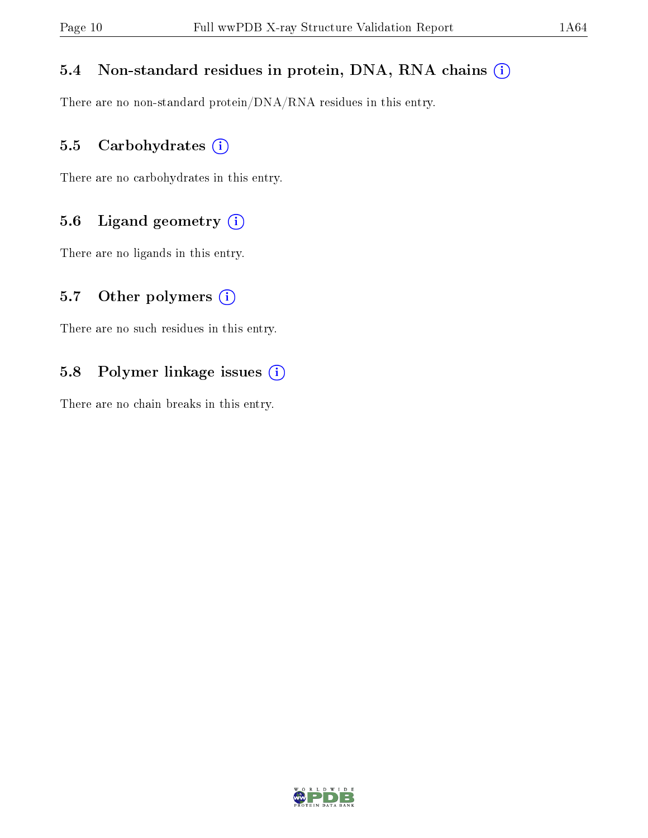### 5.4 Non-standard residues in protein, DNA, RNA chains (i)

There are no non-standard protein/DNA/RNA residues in this entry.

#### 5.5 Carbohydrates (i)

There are no carbohydrates in this entry.

### 5.6 Ligand geometry (i)

There are no ligands in this entry.

#### 5.7 [O](https://www.wwpdb.org/validation/2017/XrayValidationReportHelp#nonstandard_residues_and_ligands)ther polymers  $(i)$

There are no such residues in this entry.

### 5.8 Polymer linkage issues (i)

There are no chain breaks in this entry.